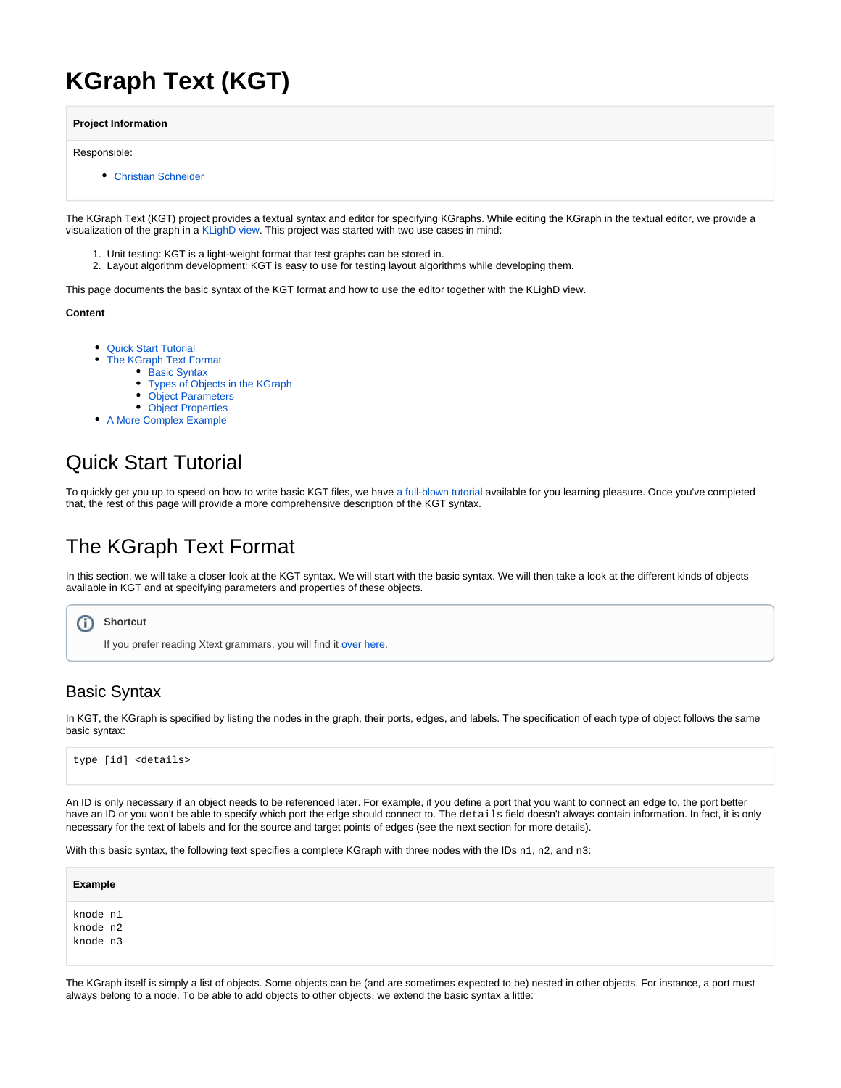# **KGraph Text (KGT)**

**Project Information**

Responsible:

[Christian Schneider](http://www.informatik.uni-kiel.de/rtsys/kontakt/christian-schneider/)

The KGraph Text (KGT) project provides a textual syntax and editor for specifying KGraphs. While editing the KGraph in the textual editor, we provide a visualization of the graph in a [KLighD view.](https://rtsys.informatik.uni-kiel.de/confluence/pages/viewpage.action?pageId=328115) This project was started with two use cases in mind:

- 1. Unit testing: KGT is a light-weight format that test graphs can be stored in.
- 2. Layout algorithm development: KGT is easy to use for testing layout algorithms while developing them.

This page documents the basic syntax of the KGT format and how to use the editor together with the KLighD view.

**Content**

- $\bullet$ [Quick Start Tutorial](#page-0-0)
	- [The KGraph Text Format](#page-0-1)
		- [Basic Syntax](#page-0-2)
			- [Types of Objects in the KGraph](#page-1-0)
		- [Object Parameters](#page-1-1)
		- [Object Properties](#page-2-0)
- [A More Complex Example](#page-3-0)

## <span id="page-0-0"></span>Quick Start Tutorial

To quickly get you up to speed on how to write basic KGT files, we have [a full-blown tutorial](https://rtsys.informatik.uni-kiel.de/confluence/pages/viewpage.action?pageId=10751546) available for you learning pleasure. Once you've completed that, the rest of this page will provide a more comprehensive description of the KGT syntax.

## <span id="page-0-1"></span>The KGraph Text Format

In this section, we will take a closer look at the KGT syntax. We will start with the basic syntax. We will then take a look at the different kinds of objects available in KGT and at specifying parameters and properties of these objects.

**Shortcut** G)

If you prefer reading Xtext grammars, you will find it [over here](https://git.rtsys.informatik.uni-kiel.de/projects/KIELER/repos/pragmatics/browse/plugins/de.cau.cs.kieler.core.kgraph.text/src/de/cau/cs/kieler/core/kgraph/text/KGraph.xtext).

## <span id="page-0-2"></span>Basic Syntax

In KGT, the KGraph is specified by listing the nodes in the graph, their ports, edges, and labels. The specification of each type of object follows the same basic syntax:

type [id] <details>

An ID is only necessary if an object needs to be referenced later. For example, if you define a port that you want to connect an edge to, the port better have an ID or you won't be able to specify which port the edge should connect to. The details field doesn't always contain information. In fact, it is only necessary for the text of labels and for the source and target points of edges (see the next section for more details).

With this basic syntax, the following text specifies a complete KGraph with three nodes with the IDs n1, n2, and n3:

| Example                          |  |
|----------------------------------|--|
|                                  |  |
| knode n1<br>knode n2<br>knode n3 |  |
|                                  |  |
|                                  |  |

The KGraph itself is simply a list of objects. Some objects can be (and are sometimes expected to be) nested in other objects. For instance, a port must always belong to a node. To be able to add objects to other objects, we extend the basic syntax a little: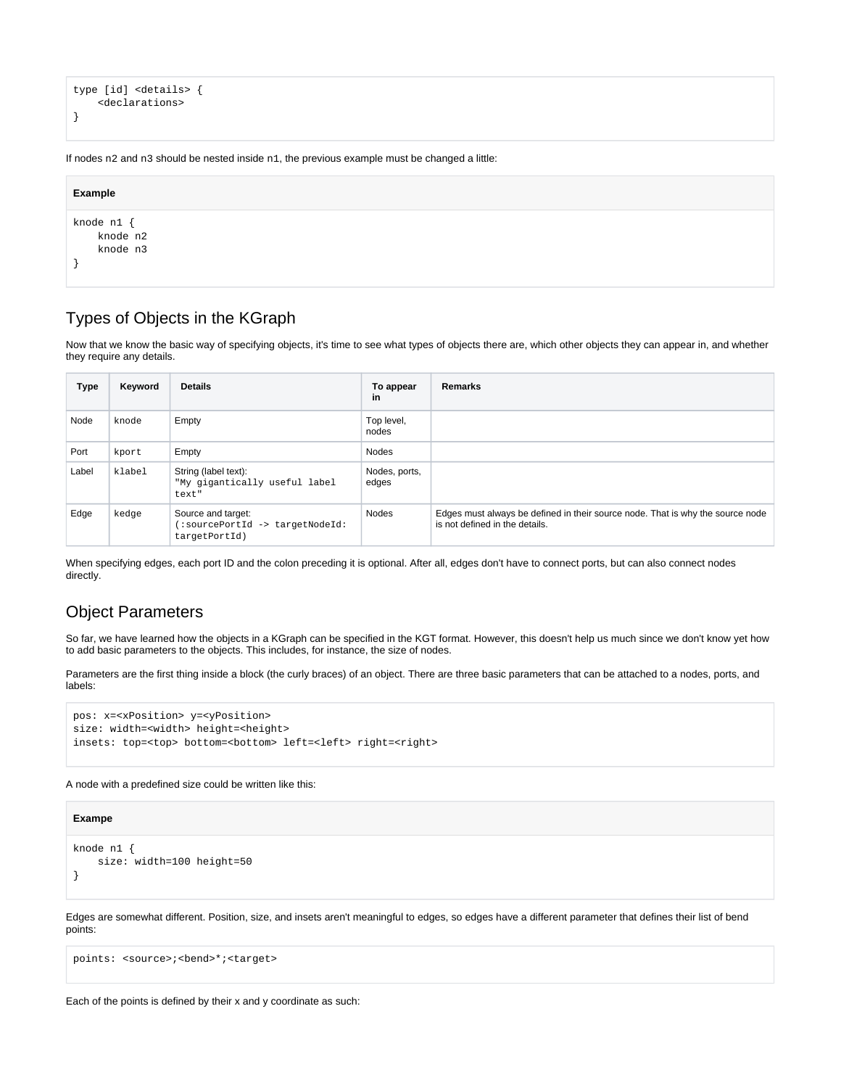```
type [id] <details> {
     <declarations>
}
```
If nodes n2 and n3 should be nested inside n1, the previous example must be changed a little:

| Example                            |  |  |  |
|------------------------------------|--|--|--|
| knode n1 {<br>knode n2<br>knode n3 |  |  |  |
|                                    |  |  |  |

### <span id="page-1-0"></span>Types of Objects in the KGraph

Now that we know the basic way of specifying objects, it's time to see what types of objects there are, which other objects they can appear in, and whether they require any details.

| Type  | Keyword | <b>Details</b>                                                         | To appear<br>in        | <b>Remarks</b>                                                                                                   |
|-------|---------|------------------------------------------------------------------------|------------------------|------------------------------------------------------------------------------------------------------------------|
| Node  | knode   | Empty                                                                  | Top level,<br>nodes    |                                                                                                                  |
| Port  | kport   | Empty                                                                  | <b>Nodes</b>           |                                                                                                                  |
| Label | klabel  | String (label text):<br>"My gigantically useful label<br>text"         | Nodes, ports,<br>edges |                                                                                                                  |
| Edge  | kedge   | Source and target:<br>(:sourcePortId -> targetNodeId:<br>targetPortId) | Nodes                  | Edges must always be defined in their source node. That is why the source node<br>is not defined in the details. |

When specifying edges, each port ID and the colon preceding it is optional. After all, edges don't have to connect ports, but can also connect nodes directly.

### <span id="page-1-1"></span>Object Parameters

So far, we have learned how the objects in a KGraph can be specified in the KGT format. However, this doesn't help us much since we don't know yet how to add basic parameters to the objects. This includes, for instance, the size of nodes.

Parameters are the first thing inside a block (the curly braces) of an object. There are three basic parameters that can be attached to a nodes, ports, and labels:

```
pos: x=<xPosition> y=<yPosition>
size: width=<width> height=<height>
insets: top=<top> bottom=<br/>>bottom> left=<left> right=<right>
```
A node with a predefined size could be written like this:

#### **Exampe**

```
knode n1 {
     size: width=100 height=50
}
```
Edges are somewhat different. Position, size, and insets aren't meaningful to edges, so edges have a different parameter that defines their list of bend points:

points: <source>;<br/>>bend>\*;<target>

Each of the points is defined by their x and y coordinate as such: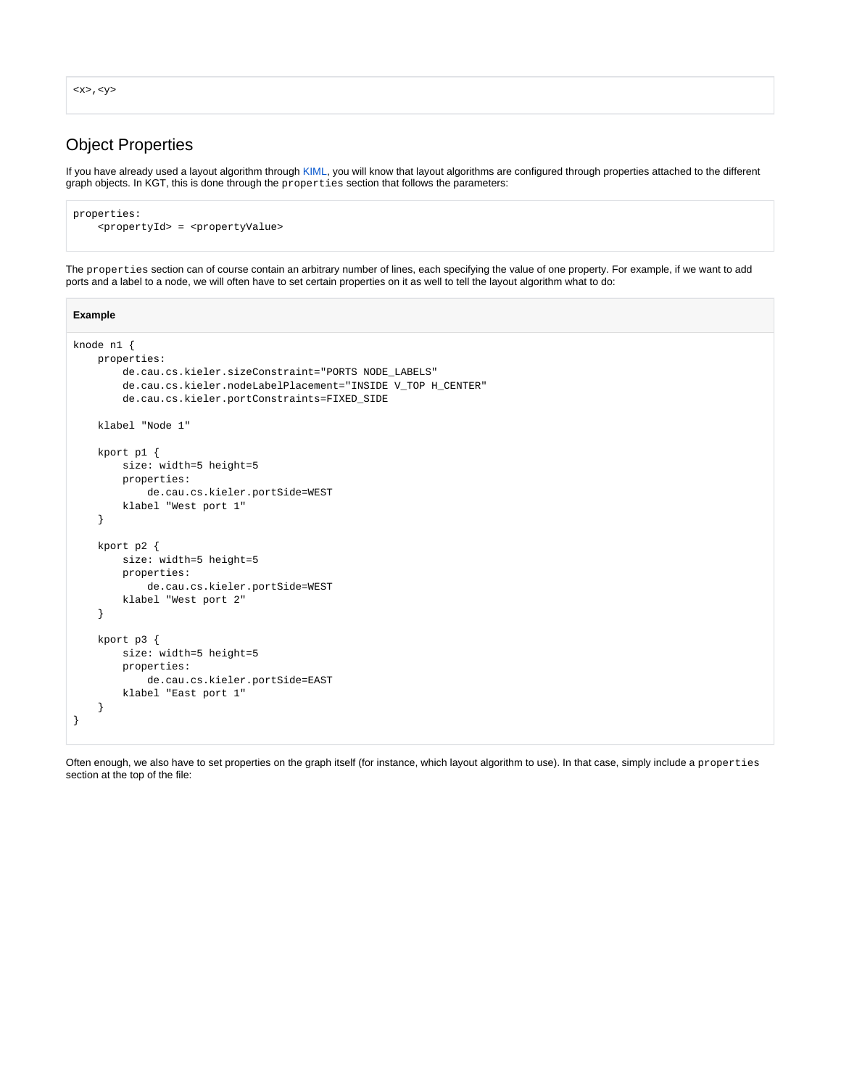<x>,<y>

### <span id="page-2-0"></span>Object Properties

If you have already used a layout algorithm through [KIML](https://rtsys.informatik.uni-kiel.de/confluence/pages/viewpage.action?pageId=328078), you will know that layout algorithms are configured through properties attached to the different graph objects. In KGT, this is done through the properties section that follows the parameters:

```
properties:
     <propertyId> = <propertyValue>
```
The properties section can of course contain an arbitrary number of lines, each specifying the value of one property. For example, if we want to add ports and a label to a node, we will often have to set certain properties on it as well to tell the layout algorithm what to do:

```
Example
knode n1 {
    properties:
         de.cau.cs.kieler.sizeConstraint="PORTS NODE_LABELS"
         de.cau.cs.kieler.nodeLabelPlacement="INSIDE V_TOP H_CENTER"
         de.cau.cs.kieler.portConstraints=FIXED_SIDE
    klabel "Node 1"
     kport p1 {
         size: width=5 height=5
         properties:
             de.cau.cs.kieler.portSide=WEST
         klabel "West port 1"
     }
     kport p2 {
         size: width=5 height=5
         properties:
             de.cau.cs.kieler.portSide=WEST
         klabel "West port 2"
     }
     kport p3 {
         size: width=5 height=5
         properties:
             de.cau.cs.kieler.portSide=EAST
         klabel "East port 1"
     }
}
```
Often enough, we also have to set properties on the graph itself (for instance, which layout algorithm to use). In that case, simply include a properties section at the top of the file: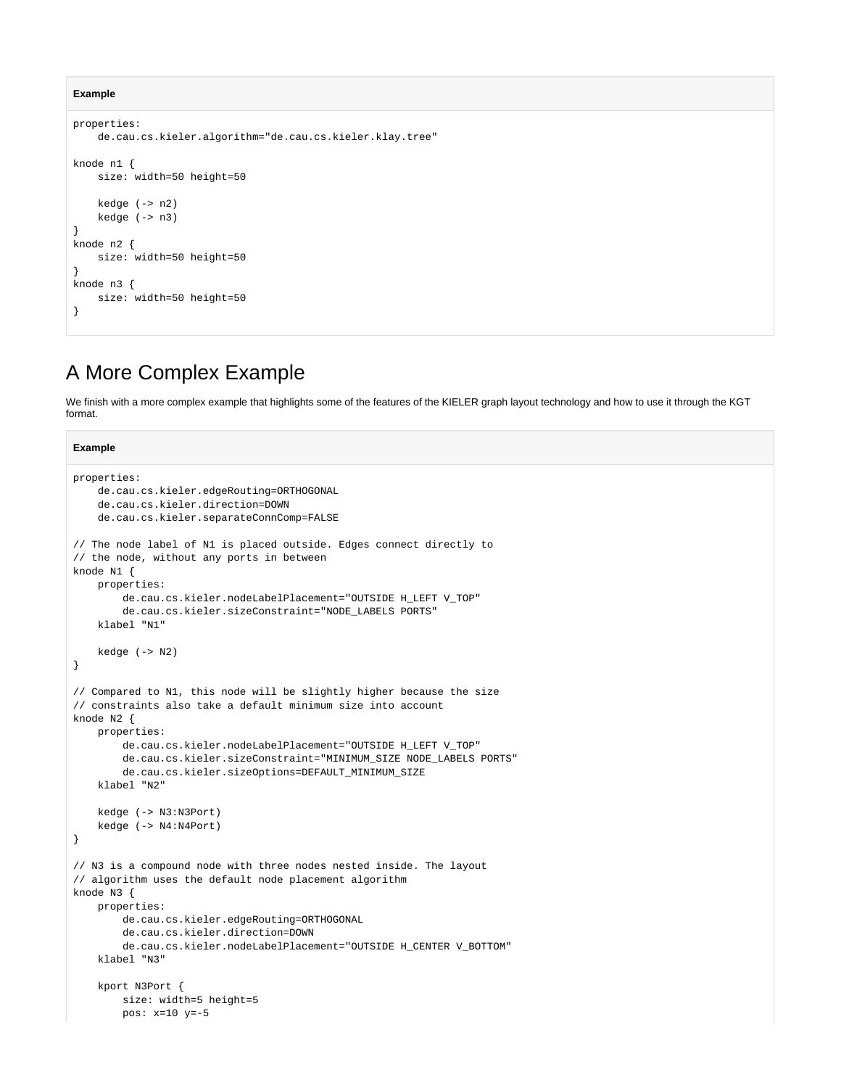#### **Example**

**Example**

```
properties:
     de.cau.cs.kieler.algorithm="de.cau.cs.kieler.klay.tree"
knode n1 {
    size: width=50 height=50
     kedge (-> n2)
     kedge (-> n3)
}
knode n2 {
    size: width=50 height=50
}
knode n3 {
     size: width=50 height=50
}
```
## <span id="page-3-0"></span>A More Complex Example

We finish with a more complex example that highlights some of the features of the KIELER graph layout technology and how to use it through the KGT format.

#### properties: de.cau.cs.kieler.edgeRouting=ORTHOGONAL de.cau.cs.kieler.direction=DOWN de.cau.cs.kieler.separateConnComp=FALSE // The node label of N1 is placed outside. Edges connect directly to // the node, without any ports in between knode N1 { properties: de.cau.cs.kieler.nodeLabelPlacement="OUTSIDE H\_LEFT V\_TOP" de.cau.cs.kieler.sizeConstraint="NODE\_LABELS PORTS" klabel "N1" kedge (-> N2) } // Compared to N1, this node will be slightly higher because the size // constraints also take a default minimum size into account knode N2 { properties: de.cau.cs.kieler.nodeLabelPlacement="OUTSIDE H\_LEFT V\_TOP" de.cau.cs.kieler.sizeConstraint="MINIMUM\_SIZE NODE\_LABELS PORTS" de.cau.cs.kieler.sizeOptions=DEFAULT\_MINIMUM\_SIZE klabel "N2" kedge (-> N3:N3Port) kedge (-> N4:N4Port) } // N3 is a compound node with three nodes nested inside. The layout // algorithm uses the default node placement algorithm knode N3 { properties: de.cau.cs.kieler.edgeRouting=ORTHOGONAL de.cau.cs.kieler.direction=DOWN de.cau.cs.kieler.nodeLabelPlacement="OUTSIDE H\_CENTER V\_BOTTOM" klabel "N3" kport N3Port { size: width=5 height=5 pos: x=10 y=-5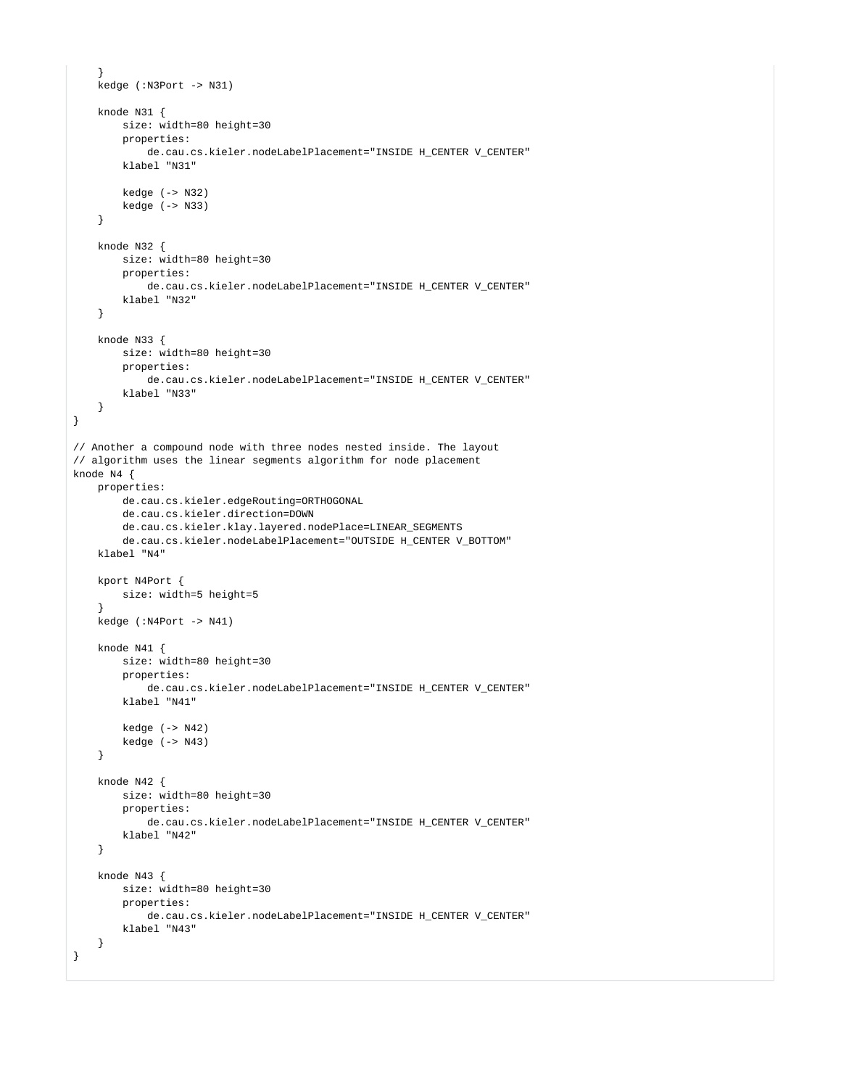```
 }
     kedge (:N3Port -> N31)
     knode N31 {
        size: width=80 height=30
         properties:
             de.cau.cs.kieler.nodeLabelPlacement="INSIDE H_CENTER V_CENTER"
         klabel "N31"
         kedge (-> N32)
        kedge (-> N33)
     }
    knode N32 {
        size: width=80 height=30
         properties:
            de.cau.cs.kieler.nodeLabelPlacement="INSIDE H_CENTER V_CENTER"
        klabel "N32"
     }
    knode N33 {
        size: width=80 height=30
         properties:
             de.cau.cs.kieler.nodeLabelPlacement="INSIDE H_CENTER V_CENTER"
        klabel "N33"
     }
}
// Another a compound node with three nodes nested inside. The layout
// algorithm uses the linear segments algorithm for node placement
knode N4 {
    properties:
         de.cau.cs.kieler.edgeRouting=ORTHOGONAL
         de.cau.cs.kieler.direction=DOWN
        de.cau.cs.kieler.klay.layered.nodePlace=LINEAR_SEGMENTS
        de.cau.cs.kieler.nodeLabelPlacement="OUTSIDE H_CENTER V_BOTTOM"
    klabel "N4"
     kport N4Port {
        size: width=5 height=5
 }
    kedge (:N4Port -> N41)
     knode N41 {
        size: width=80 height=30
         properties:
             de.cau.cs.kieler.nodeLabelPlacement="INSIDE H_CENTER V_CENTER"
        klabel "N41"
        kedge (-> N42)
        kedge (-> N43)
     }
    knode N42 {
        size: width=80 height=30
         properties:
             de.cau.cs.kieler.nodeLabelPlacement="INSIDE H_CENTER V_CENTER"
        klabel "N42"
     }
     knode N43 {
        size: width=80 height=30
         properties:
             de.cau.cs.kieler.nodeLabelPlacement="INSIDE H_CENTER V_CENTER"
        klabel "N43"
     }
}
```